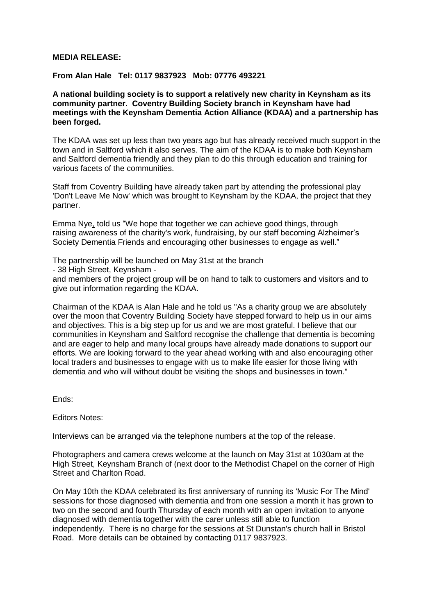## **MEDIA RELEASE:**

## **From Alan Hale Tel: 0117 9837923 Mob: 07776 493221**

**A national building society is to support a relatively new charity in Keynsham as its community partner. Coventry Building Society branch in Keynsham have had meetings with the Keynsham Dementia Action Alliance (KDAA) and a partnership has been forged.**

The KDAA was set up less than two years ago but has already received much support in the town and in Saltford which it also serves. The aim of the KDAA is to make both Keynsham and Saltford dementia friendly and they plan to do this through education and training for various facets of the communities.

Staff from Coventry Building have already taken part by attending the professional play 'Don't Leave Me Now' which was brought to Keynsham by the KDAA, the project that they partner.

Emma Nye, told us "We hope that together we can achieve good things, through raising awareness of the charity's work, fundraising, by our staff becoming Alzheimer's Society Dementia Friends and encouraging other businesses to engage as well."

The partnership will be launched on May 31st at the branch

- 38 High Street, Keynsham -

and members of the project group will be on hand to talk to customers and visitors and to give out information regarding the KDAA.

Chairman of the KDAA is Alan Hale and he told us "As a charity group we are absolutely over the moon that Coventry Building Society have stepped forward to help us in our aims and objectives. This is a big step up for us and we are most grateful. I believe that our communities in Keynsham and Saltford recognise the challenge that dementia is becoming and are eager to help and many local groups have already made donations to support our efforts. We are looking forward to the year ahead working with and also encouraging other local traders and businesses to engage with us to make life easier for those living with dementia and who will without doubt be visiting the shops and businesses in town."

Ends:

Editors Notes:

Interviews can be arranged via the telephone numbers at the top of the release.

Photographers and camera crews welcome at the launch on May 31st at 1030am at the High Street, Keynsham Branch of (next door to the Methodist Chapel on the corner of High Street and Charlton Road.

On May 10th the KDAA celebrated its first anniversary of running its 'Music For The Mind' sessions for those diagnosed with dementia and from one session a month it has grown to two on the second and fourth Thursday of each month with an open invitation to anyone diagnosed with dementia together with the carer unless still able to function independently. There is no charge for the sessions at St Dunstan's church hall in Bristol Road. More details can be obtained by contacting 0117 9837923.